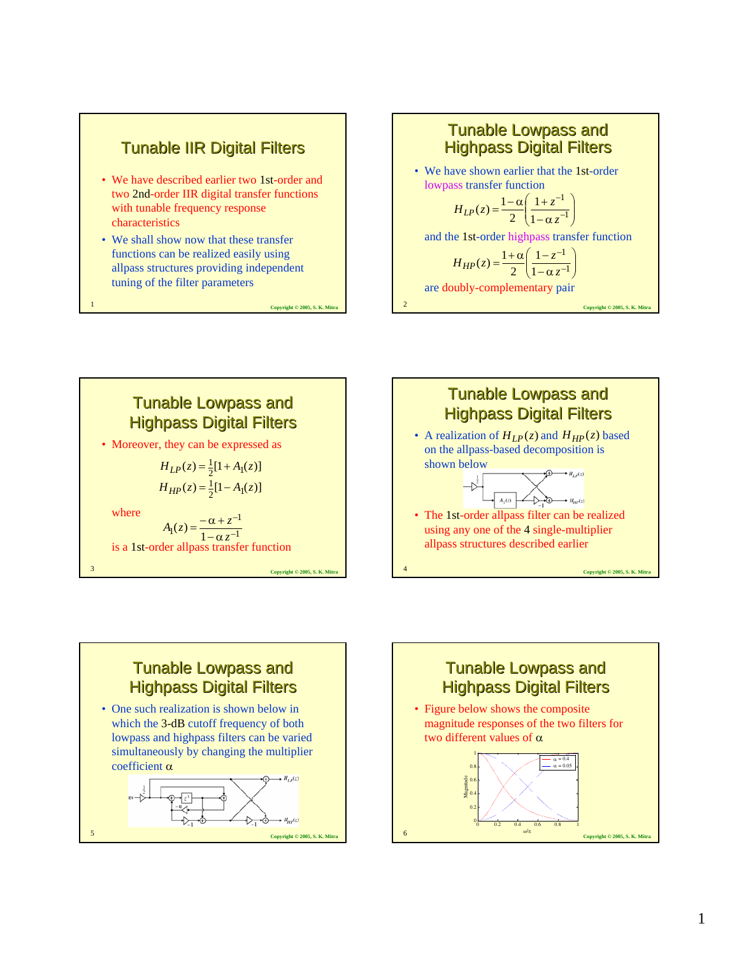

#### **Tunable Lowpass and Highpass Digital Filters**

• We have shown earlier that the 1st-order lowpass transfer function

$$
H_{LP}(z) = \frac{1 - \alpha}{2} \left( \frac{1 + z^{-1}}{1 - \alpha z^{-1}} \right)
$$

and the 1st-order highpass transfer function

**Copyright © 2005, S. K. Mitra** 2

**Copyright © 2005, S. K. Mitr** 

$$
H_{HP}(z) = \frac{1+\alpha}{2} \left( \frac{1-z^{-1}}{1-\alpha z^{-1}} \right)
$$

are doubly-complementary pair

**Tunable Lowpass and Highpass Digital Filters** 

> $H_{LP}(z) = \frac{1}{2} [1 + A_1(z)]$  $H_{HP}(z) = \frac{1}{2} [1 - A_1(z)]$

• Moreover, they can be expressed as

is a 1st-order allpass transfer function

 $t_1(z) = \frac{-\alpha + z^{-1}}{1 - \alpha z^{-1}}$  $A_1(z) = \frac{-\alpha + z}{1 - \alpha z}$ 

1

where





# **Tunable Lowpass and Highpass Digital Filters** • One such realization is shown below in which the 3-dB cutoff frequency of both lowpass and highpass filters can be varied simultaneously by changing the multiplier coefficient α  $H_{\mu\mu}(z)$

Copyright © 2005, S. K. Mitr

**Copyright © 2005, S. K. Mitra** 

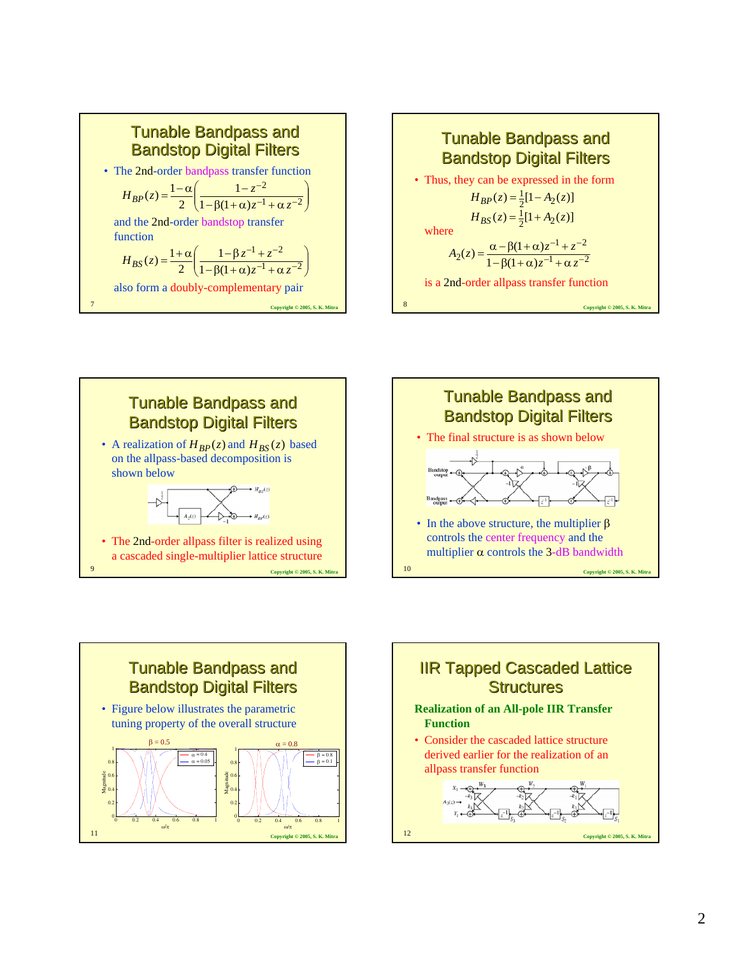









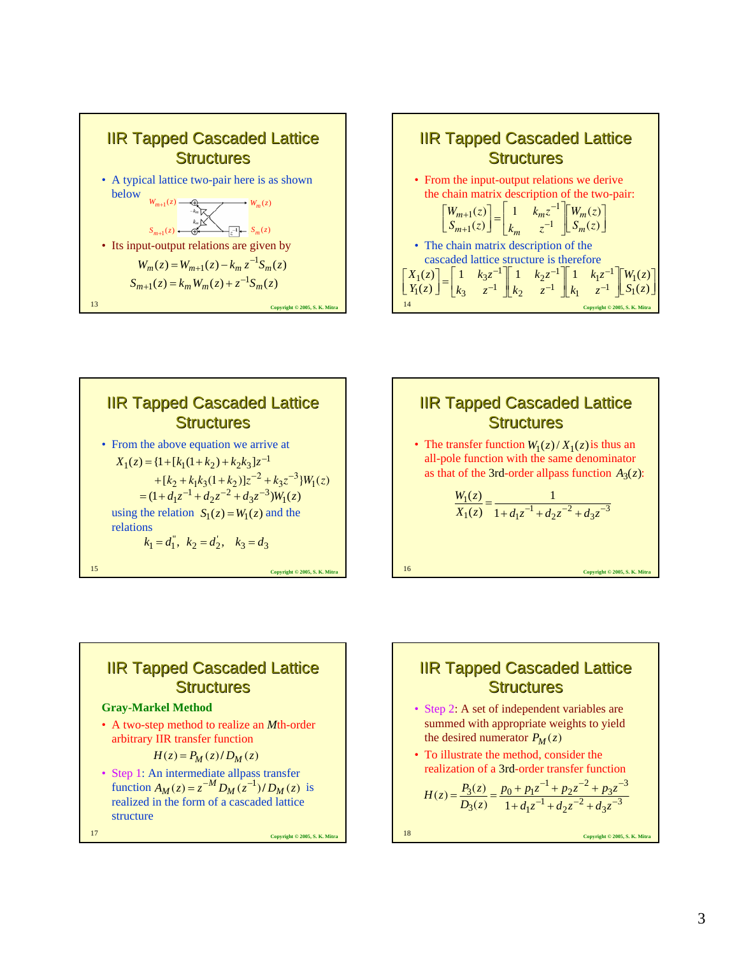







### **IIR Tapped Cascaded Lattice Structures**

#### **Gray-Markel Method**

• A two-step method to realize an *M*th-order arbitrary IIR transfer function

 $H(z) = P_M(z)/D_M(z)$ 

• Step 1: An intermediate allpass transfer function  $A_M(z) = z^{-M} D_M(z^{-1})/D_M(z)$  is realized in the form of a cascaded lattice structure

**Copyright © 2005, S. K. Mitra** 17

### **IIR Tapped Cascaded Lattice Structures**

- Step 2: A set of independent variables are summed with appropriate weights to yield the desired numerator  $P_M(z)$
- To illustrate the method, consider the realization of a 3rd-order transfer function

$$
H(z) = \frac{P_3(z)}{D_3(z)} = \frac{p_0 + p_1 z^{-1} + p_2 z^{-2} + p_3 z^{-3}}{1 + d_1 z^{-1} + d_2 z^{-2} + d_3 z^{-3}}
$$

**Copyright © 2005, S. K. Mitra** 18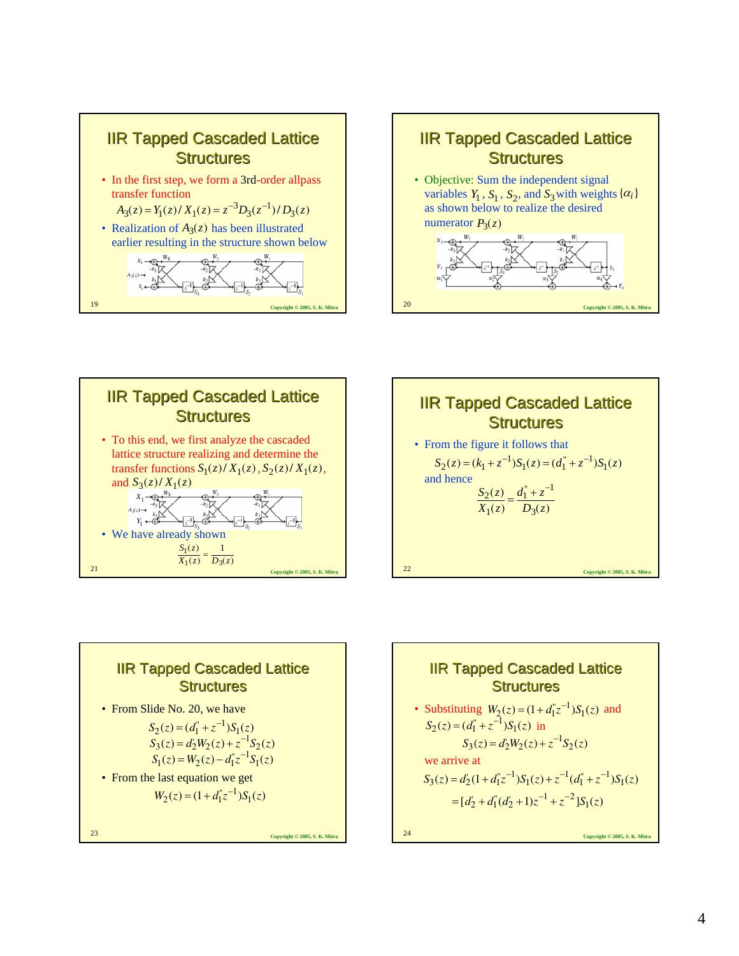









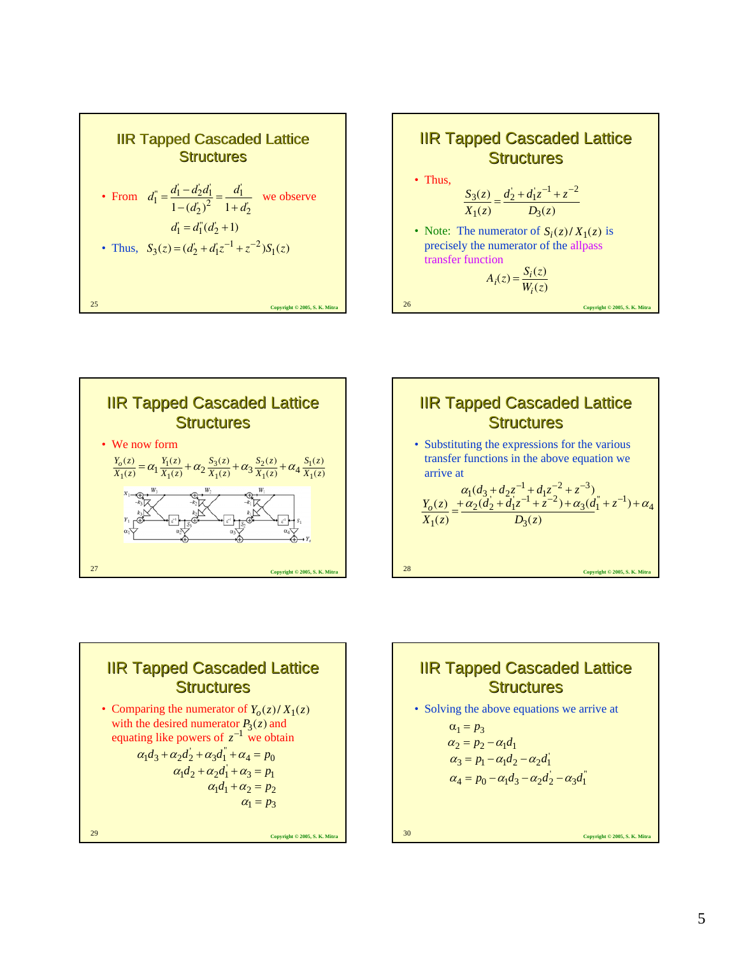| <b>IIR Tapped Cascaded Lattice</b><br><b>Structures</b>                                                                                             |
|-----------------------------------------------------------------------------------------------------------------------------------------------------|
| • From $d_1^{\prime\prime} = \frac{d_1^{\prime\prime} - d_2 d_1^{\prime}}{1 - (d_2^{\prime})^2} = \frac{d_1^{\prime}}{1 + d_2^{\prime}}$ we observe |
| $d_1 = d_1(d_2 + 1)$<br>• Thus, $S_3(z) = (d'_2 + d'_1 z^{-1} + z^{-2}) S_1(z)$                                                                     |
| 25<br>Copyright © 2005, S. K. Mitra                                                                                                                 |







### **Copyright © 2005, S. K. Mitra** 29 **IIR Tapped Cascaded Lattice Structures** • Comparing the numerator of  $Y_o(z)/X_1(z)$ with the desired numerator  $P_3(z)$  and with the desired numerator  $P_3(z)$  and<br>equating like powers of  $z^{-1}$  we obtain  $\alpha_1 d_3 + \alpha_2 d_2 + \alpha_3 d_1 + \alpha_4 = p_0$  $\alpha_1 d_2 + \alpha_2 d_1 + \alpha_3 = p_1$  $\alpha_1 d_1 + \alpha_2 = p_2$  $\alpha_1 = p_3$



$$
\alpha_3 = p_1 - \alpha_1 \alpha_2 - \alpha_2 \alpha_1
$$
  

$$
\alpha_4 = p_0 - \alpha_1 \alpha_3 - \alpha_2 \alpha_2 - \alpha_3 \alpha_1
$$

**Copyright © 2005, S. K. Mitra** 30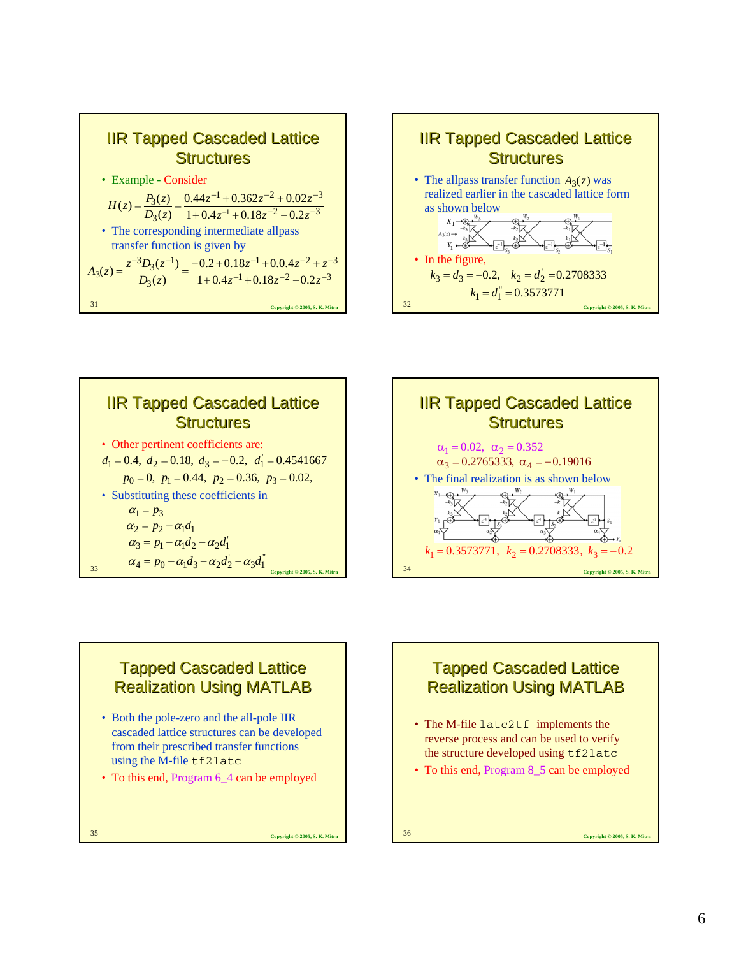







#### **Tapped Cascaded Lattice** Realization Using MATLAB

- Both the pole-zero and the all-pole IIR cascaded lattice structures can be developed from their prescribed transfer functions using the M-file tf2latc
- To this end, Program 6\_4 can be employed

**Copyright © 2005, S. K. Mitra** 35

# **Tapped Cascaded Lattice** Realization Using MATLAB

- The M-file latc2tf implements the reverse process and can be used to verify the structure developed using tf2latc
- To this end, Program 8\_5 can be employed

**Convright © 2005, S. K. Mitra**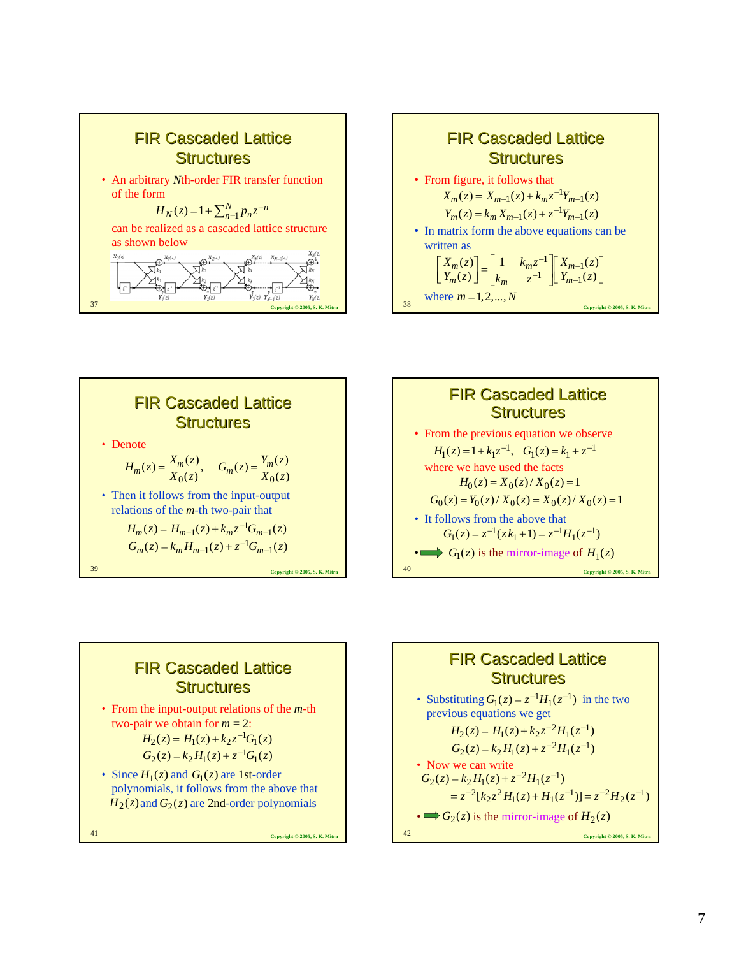







# **FIR Cascaded Lattice Structures**

• From the input-output relations of the *m*-th two-pair we obtain for  $m = 2$ :

$$
H_2(z) = H_1(z) + k_2 z^{-1} G_1(z)
$$
  
\n
$$
G_2(z) = k_2 H_1(z) + z^{-1} G_1(z)
$$

• Since  $H_1(z)$  and  $G_1(z)$  are 1st-order polynomials, it follows from the above that  $H_2(z)$  and  $G_2(z)$  are 2nd-order polynomials

**Copyright © 2005, S. K. Mitra** 41

**FIR Cascaded Lattice Structures** 

\n- Substituting 
$$
G_1(z) = z^{-1}H_1(z^{-1})
$$
 in the two previous equations we get\n  $H_2(z) = H_1(z) + k_2 z^{-2} H_1(z^{-1})$ \n $G_2(z) = k_2 H_1(z) + z^{-2} H_1(z^{-1})$ \n
\n- Now we can write\n  $G_2(z) = k_2 H_1(z) + z^{-2} H_1(z^{-1})$ \n $= z^{-2} [k_2 z^2 H_1(z) + H_1(z^{-1})] = z^{-2} H_2(z^{-1})$ \n
\n- $\implies G_2(z)$  is the mirror-image of  $H_2(z)$ \n $= \sum_{\text{Coprriglet } 0.2005, \text{S. K. Mirra}}$ \n
\n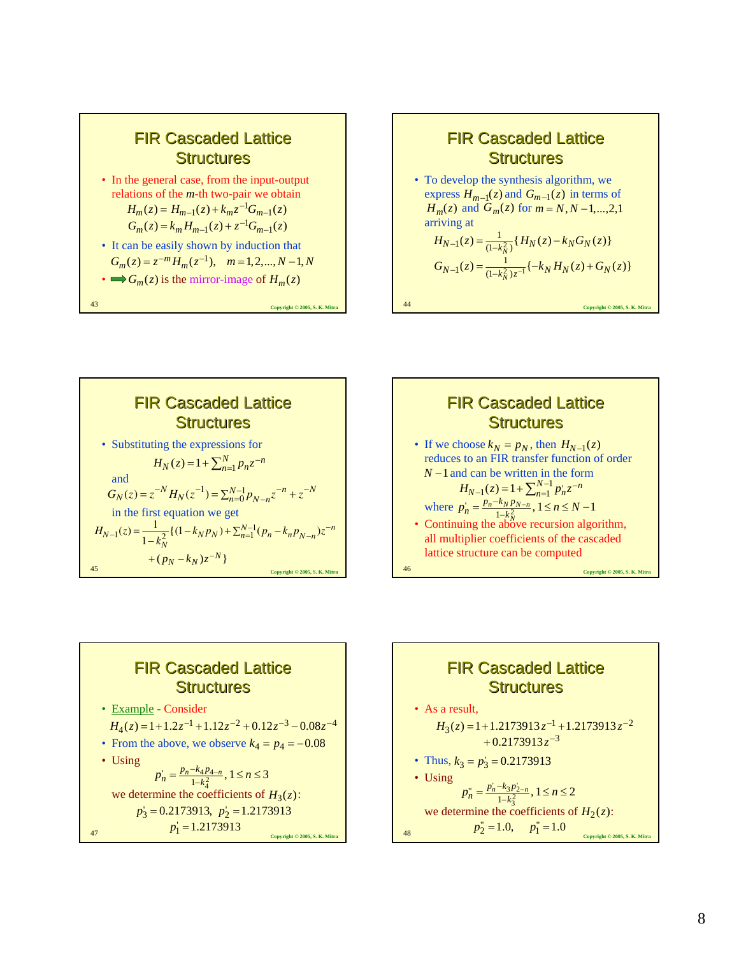